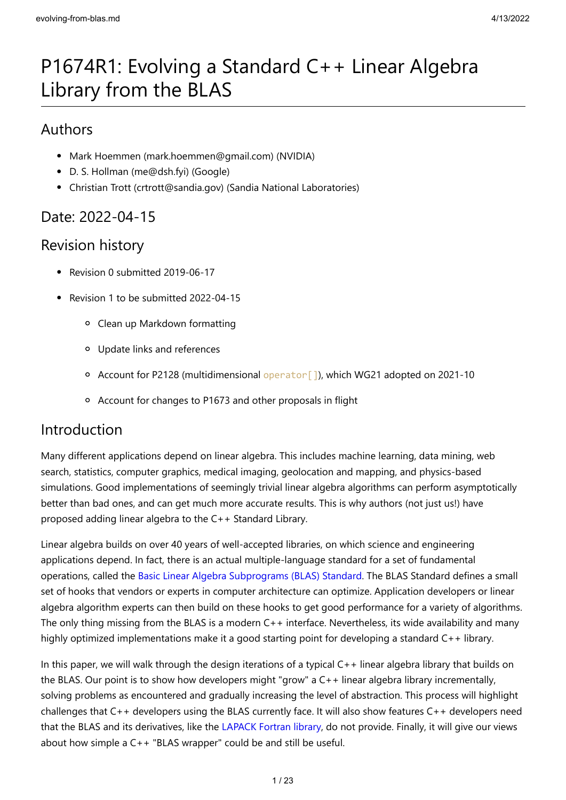# P1674R1: Evolving a Standard C++ Linear Algebra Library from the BLAS

# Authors

- Mark Hoemmen (mark.hoemmen@gmail.com) (NVIDIA)
- D. S. Hollman (me@dsh.fyi) (Google)
- Christian Trott (crtrott@sandia.gov) (Sandia National Laboratories)

# Date: 2022-04-15

# Revision history

- Revision 0 submitted 2019-06-17
- Revision 1 to be submitted 2022-04-15
	- Clean up Markdown formatting
	- Update links and references
	- <sup>o</sup> Account for P2128 (multidimensional operator []), which WG21 adopted on 2021-10
	- Account for changes to P1673 and other proposals in flight

# Introduction

Many different applications depend on linear algebra. This includes machine learning, data mining, web search, statistics, computer graphics, medical imaging, geolocation and mapping, and physics-based simulations. Good implementations of seemingly trivial linear algebra algorithms can perform asymptotically better than bad ones, and can get much more accurate results. This is why authors (not just us!) have proposed adding linear algebra to the C++ Standard Library.

Linear algebra builds on over 40 years of well-accepted libraries, on which science and engineering applications depend. In fact, there is an actual multiple-language standard for a set of fundamental operations, called the [Basic Linear Algebra Subprograms \(BLAS\) Standard](http://www.netlib.org/blas/blast-forum/blas-report.pdf). The BLAS Standard defines a small set of hooks that vendors or experts in computer architecture can optimize. Application developers or linear algebra algorithm experts can then build on these hooks to get good performance for a variety of algorithms. The only thing missing from the BLAS is a modern  $C++$  interface. Nevertheless, its wide availability and many highly optimized implementations make it a good starting point for developing a standard C++ library.

In this paper, we will walk through the design iterations of a typical C++ linear algebra library that builds on the BLAS. Our point is to show how developers might "grow" a C++ linear algebra library incrementally, solving problems as encountered and gradually increasing the level of abstraction. This process will highlight challenges that C++ developers using the BLAS currently face. It will also show features C++ developers need that the BLAS and its derivatives, like the [LAPACK Fortran library,](http://www.netlib.org/lapack/) do not provide. Finally, it will give our views about how simple a C++ "BLAS wrapper" could be and still be useful.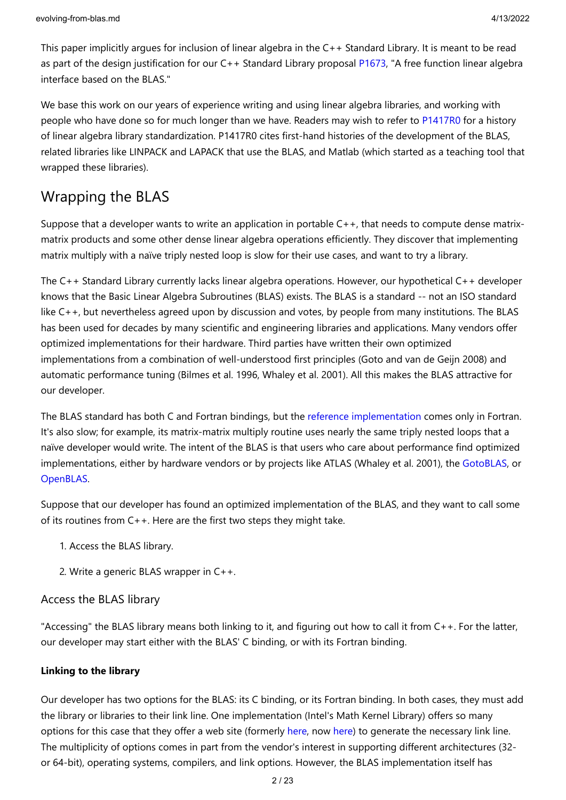This paper implicitly argues for inclusion of linear algebra in the C++ Standard Library. It is meant to be read as part of the design justification for our C++ Standard Library proposal [P1673](https://wg21.link/p1673), "A free function linear algebra interface based on the BLAS."

We base this work on our years of experience writing and using linear algebra libraries, and working with people who have done so for much longer than we have. Readers may wish to refer to [P1417R0](http://wg21.link/p1417r0) for a history of linear algebra library standardization. P1417R0 cites first-hand histories of the development of the BLAS, related libraries like LINPACK and LAPACK that use the BLAS, and Matlab (which started as a teaching tool that wrapped these libraries).

# Wrapping the BLAS

Suppose that a developer wants to write an application in portable C++, that needs to compute dense matrixmatrix products and some other dense linear algebra operations efficiently. They discover that implementing matrix multiply with a naïve triply nested loop is slow for their use cases, and want to try a library.

The C++ Standard Library currently lacks linear algebra operations. However, our hypothetical C++ developer knows that the Basic Linear Algebra Subroutines (BLAS) exists. The BLAS is a standard -- not an ISO standard like C++, but nevertheless agreed upon by discussion and votes, by people from many institutions. The BLAS has been used for decades by many scientific and engineering libraries and applications. Many vendors offer optimized implementations for their hardware. Third parties have written their own optimized implementations from a combination of well-understood first principles (Goto and van de Geijn 2008) and automatic performance tuning (Bilmes et al. 1996, Whaley et al. 2001). All this makes the BLAS attractive for our developer.

The BLAS standard has both C and Fortran bindings, but the [reference implementation](http://www.netlib.org/blas/#_reference_blas_version_3_10_0) comes only in Fortran. It's also slow; for example, its matrix-matrix multiply routine uses nearly the same triply nested loops that a naïve developer would write. The intent of the BLAS is that users who care about performance find optimized implementations, either by hardware vendors or by projects like ATLAS (Whaley et al. 2001), the [GotoBLAS,](https://www.tacc.utexas.edu/research-development/tacc-software/gotoblas2) or [OpenBLAS](http://www.openblas.net/).

Suppose that our developer has found an optimized implementation of the BLAS, and they want to call some of its routines from C++. Here are the first two steps they might take.

- 1. Access the BLAS library.
- 2. Write a generic BLAS wrapper in C++.

### Access the BLAS library

"Accessing" the BLAS library means both linking to it, and figuring out how to call it from C++. For the latter, our developer may start either with the BLAS' C binding, or with its Fortran binding.

### **Linking to the library**

Our developer has two options for the BLAS: its C binding, or its Fortran binding. In both cases, they must add the library or libraries to their link line. One implementation (Intel's Math Kernel Library) offers so many options for this case that they offer a web site (formerly [here,](https://software.intel.com/en-us/articles/intel-mkl-link-line-advisor) now [here](https://www.intel.com/content/www/us/en/developer/tools/oneapi/onemkl-link-line-advisor.html)) to generate the necessary link line. The multiplicity of options comes in part from the vendor's interest in supporting different architectures (32 or 64-bit), operating systems, compilers, and link options. However, the BLAS implementation itself has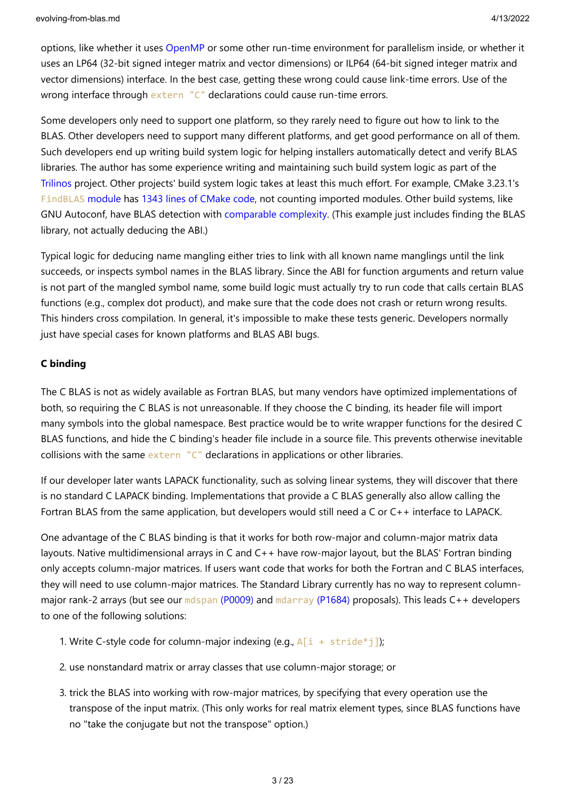options, like whether it uses [OpenMP](https://www.openmp.org/) or some other run-time environment for parallelism inside, or whether it uses an LP64 (32-bit signed integer matrix and vector dimensions) or ILP64 (64-bit signed integer matrix and vector dimensions) interface. In the best case, getting these wrong could cause link-time errors. Use of the wrong interface through extern "C" declarations could cause run-time errors.

Some developers only need to support one platform, so they rarely need to figure out how to link to the BLAS. Other developers need to support many different platforms, and get good performance on all of them. Such developers end up writing build system logic for helping installers automatically detect and verify BLAS libraries. The author has some experience writing and maintaining such build system logic as part of the [Trilinos](https://github.com/trilinos/Trilinos) project. Other projects' build system logic takes at least this much effort. For example, CMake 3.23.1's [FindBLAS](https://cmake.org/cmake/help/latest/module/FindBLAS.html) module has [1343 lines of CMake code](https://github.com/Kitware/CMake/blob/master/Modules/FindBLAS.cmake), not counting imported modules. Other build systems, like GNU Autoconf, have BLAS detection with [comparable complexity](http://git.savannah.gnu.org/gitweb/?p=autoconf-archive.git;a=blob_plain;f=m4/ax_blas.m4). (This example just includes finding the BLAS library, not actually deducing the ABI.)

Typical logic for deducing name mangling either tries to link with all known name manglings until the link succeeds, or inspects symbol names in the BLAS library. Since the ABI for function arguments and return value is not part of the mangled symbol name, some build logic must actually try to run code that calls certain BLAS functions (e.g., complex dot product), and make sure that the code does not crash or return wrong results. This hinders cross compilation. In general, it's impossible to make these tests generic. Developers normally just have special cases for known platforms and BLAS ABI bugs.

### **C binding**

The C BLAS is not as widely available as Fortran BLAS, but many vendors have optimized implementations of both, so requiring the C BLAS is not unreasonable. If they choose the C binding, its header file will import many symbols into the global namespace. Best practice would be to write wrapper functions for the desired C BLAS functions, and hide the C binding's header file include in a source file. This prevents otherwise inevitable collisions with the same extern "C" declarations in applications or other libraries.

If our developer later wants LAPACK functionality, such as solving linear systems, they will discover that there is no standard C LAPACK binding. Implementations that provide a C BLAS generally also allow calling the Fortran BLAS from the same application, but developers would still need a C or C++ interface to LAPACK.

One advantage of the C BLAS binding is that it works for both row-major and column-major matrix data layouts. Native multidimensional arrays in C and C++ have row-major layout, but the BLAS' Fortran binding only accepts column-major matrices. If users want code that works for both the Fortran and C BLAS interfaces, they will need to use column-major matrices. The Standard Library currently has no way to represent column-major rank-2 arrays (but see our mdspan [\(P0009\)](https://wg21.link/p0009) and [mdarray](https://wg21.link/p1684) (P1684) proposals). This leads C++ developers to one of the following solutions:

- 1. Write C-style code for column-major indexing (e.g.,  $A[i + stride * j]$ );
- 2. use nonstandard matrix or array classes that use column-major storage; or
- 3. trick the BLAS into working with row-major matrices, by specifying that every operation use the transpose of the input matrix. (This only works for real matrix element types, since BLAS functions have no "take the conjugate but not the transpose" option.)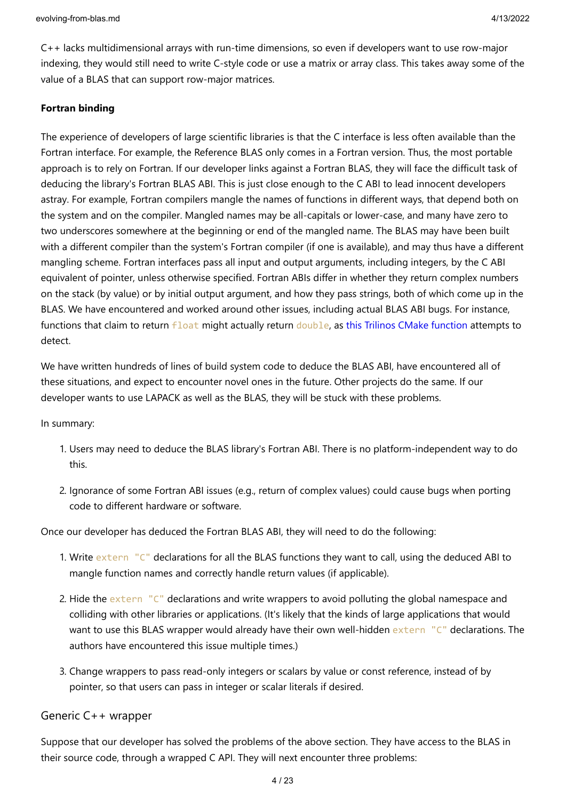C++ lacks multidimensional arrays with run-time dimensions, so even if developers want to use row-major indexing, they would still need to write C-style code or use a matrix or array class. This takes away some of the value of a BLAS that can support row-major matrices.

#### **Fortran binding**

The experience of developers of large scientific libraries is that the C interface is less often available than the Fortran interface. For example, the Reference BLAS only comes in a Fortran version. Thus, the most portable approach is to rely on Fortran. If our developer links against a Fortran BLAS, they will face the difficult task of deducing the library's Fortran BLAS ABI. This is just close enough to the C ABI to lead innocent developers astray. For example, Fortran compilers mangle the names of functions in different ways, that depend both on the system and on the compiler. Mangled names may be all-capitals or lower-case, and many have zero to two underscores somewhere at the beginning or end of the mangled name. The BLAS may have been built with a different compiler than the system's Fortran compiler (if one is available), and may thus have a different mangling scheme. Fortran interfaces pass all input and output arguments, including integers, by the C ABI equivalent of pointer, unless otherwise specified. Fortran ABIs differ in whether they return complex numbers on the stack (by value) or by initial output argument, and how they pass strings, both of which come up in the BLAS. We have encountered and worked around other issues, including actual BLAS ABI bugs. For instance, functions that claim to return float might actually return double, as [this Trilinos CMake function](https://github.com/trilinos/Trilinos/blob/7bc4eb697c4ccd9fab1742661da3260a1069d41a/packages/teuchos/cmake/CheckBlasFloatReturnsDouble.cmake) attempts to detect.

We have written hundreds of lines of build system code to deduce the BLAS ABI, have encountered all of these situations, and expect to encounter novel ones in the future. Other projects do the same. If our developer wants to use LAPACK as well as the BLAS, they will be stuck with these problems.

In summary:

- 1. Users may need to deduce the BLAS library's Fortran ABI. There is no platform-independent way to do this.
- 2. Ignorance of some Fortran ABI issues (e.g., return of complex values) could cause bugs when porting code to different hardware or software.

Once our developer has deduced the Fortran BLAS ABI, they will need to do the following:

- 1. Write extern "C" declarations for all the BLAS functions they want to call, using the deduced ABI to mangle function names and correctly handle return values (if applicable).
- 2. Hide the extern "C" declarations and write wrappers to avoid polluting the global namespace and colliding with other libraries or applications. (It's likely that the kinds of large applications that would want to use this BLAS wrapper would already have their own well-hidden extern "C" declarations. The authors have encountered this issue multiple times.)
- 3. Change wrappers to pass read-only integers or scalars by value or const reference, instead of by pointer, so that users can pass in integer or scalar literals if desired.

#### Generic C++ wrapper

Suppose that our developer has solved the problems of the above section. They have access to the BLAS in their source code, through a wrapped C API. They will next encounter three problems: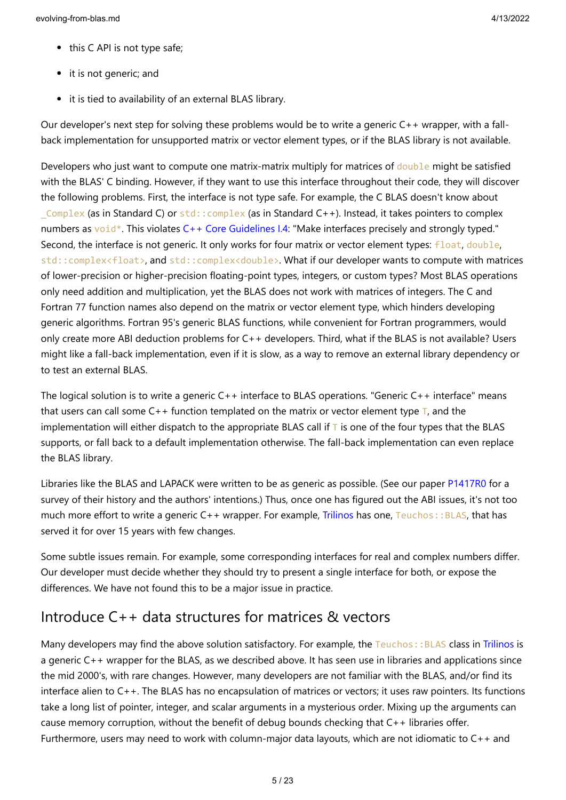- this C API is not type safe;
- it is not generic; and
- it is tied to availability of an external BLAS library.

Our developer's next step for solving these problems would be to write a generic C++ wrapper, with a fallback implementation for unsupported matrix or vector element types, or if the BLAS library is not available.

Developers who just want to compute one matrix-matrix multiply for matrices of double might be satisfied with the BLAS' C binding. However, if they want to use this interface throughout their code, they will discover the following problems. First, the interface is not type safe. For example, the C BLAS doesn't know about Complex (as in Standard C) or  $std::complex$  (as in Standard C++). Instead, it takes pointers to complex numbers as void\*. This violates [C++ Core Guidelines I.4:](https://isocpp.github.io/CppCoreGuidelines/CppCoreGuidelines#Ri-typed) "Make interfaces precisely and strongly typed." Second, the interface is not generic. It only works for four matrix or vector element types: float, double, std::complex<float>, and std::complex<double>. What if our developer wants to compute with matrices of lower-precision or higher-precision floating-point types, integers, or custom types? Most BLAS operations only need addition and multiplication, yet the BLAS does not work with matrices of integers. The C and Fortran 77 function names also depend on the matrix or vector element type, which hinders developing generic algorithms. Fortran 95's generic BLAS functions, while convenient for Fortran programmers, would only create more ABI deduction problems for C++ developers. Third, what if the BLAS is not available? Users might like a fall-back implementation, even if it is slow, as a way to remove an external library dependency or to test an external BLAS.

The logical solution is to write a generic C++ interface to BLAS operations. "Generic C++ interface" means that users can call some  $C_{++}$  function templated on the matrix or vector element type  $T$ , and the implementation will either dispatch to the appropriate BLAS call if  $\bar{\tau}$  is one of the four types that the BLAS supports, or fall back to a default implementation otherwise. The fall-back implementation can even replace the BLAS library.

Libraries like the BLAS and LAPACK were written to be as generic as possible. (See our paper [P1417R0](http://wg21.link/p1417r0) for a survey of their history and the authors' intentions.) Thus, once one has figured out the ABI issues, it's not too much more effort to write a generic C++ wrapper. For example, [Trilinos](https://github.com/trilinos/Trilinos) has one, Teuchos::BLAS, that has served it for over 15 years with few changes.

Some subtle issues remain. For example, some corresponding interfaces for real and complex numbers differ. Our developer must decide whether they should try to present a single interface for both, or expose the differences. We have not found this to be a major issue in practice.

# Introduce C++ data structures for matrices & vectors

Many developers may find the above solution satisfactory. For example, the Teuchos::BLAS class in [Trilinos](https://github.com/trilinos/Trilinos) is a generic C++ wrapper for the BLAS, as we described above. It has seen use in libraries and applications since the mid 2000's, with rare changes. However, many developers are not familiar with the BLAS, and/or find its interface alien to C++. The BLAS has no encapsulation of matrices or vectors; it uses raw pointers. Its functions take a long list of pointer, integer, and scalar arguments in a mysterious order. Mixing up the arguments can cause memory corruption, without the benefit of debug bounds checking that C++ libraries offer. Furthermore, users may need to work with column-major data layouts, which are not idiomatic to C++ and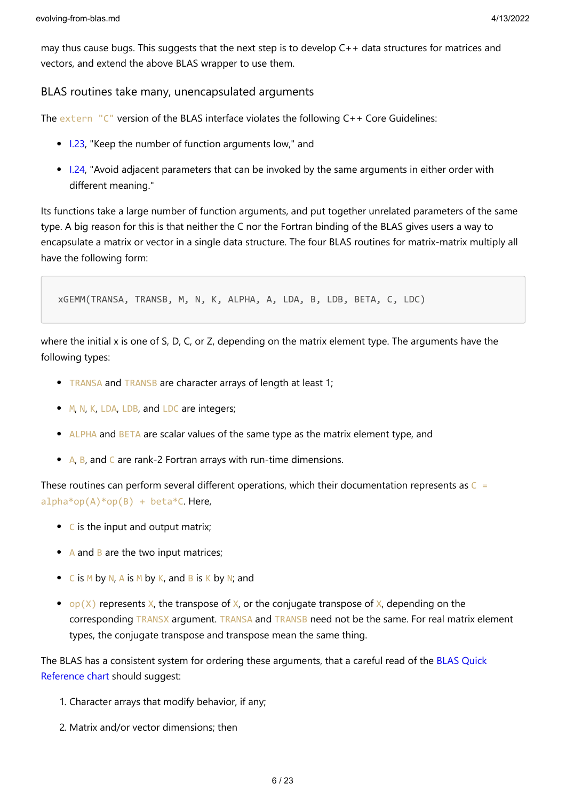may thus cause bugs. This suggests that the next step is to develop C++ data structures for matrices and vectors, and extend the above BLAS wrapper to use them.

### BLAS routines take many, unencapsulated arguments

The extern "C" version of the BLAS interface violates the following C++ Core Guidelines:

- [I.23](https://isocpp.github.io/CppCoreGuidelines/CppCoreGuidelines#i23-keep-the-number-of-function-arguments-low), "Keep the number of function arguments low," and
- 1.24, "Avoid adjacent parameters that can be invoked by the same arguments in either order with different meaning."

Its functions take a large number of function arguments, and put together unrelated parameters of the same type. A big reason for this is that neither the C nor the Fortran binding of the BLAS gives users a way to encapsulate a matrix or vector in a single data structure. The four BLAS routines for matrix-matrix multiply all have the following form:

xGEMM(TRANSA, TRANSB, M, N, K, ALPHA, A, LDA, B, LDB, BETA, C, LDC)

where the initial x is one of S, D, C, or Z, depending on the matrix element type. The arguments have the following types:

- TRANSA and TRANSB are character arrays of length at least 1;
- M, N, K, LDA, LDB, and LDC are integers;
- ALPHA and BETA are scalar values of the same type as the matrix element type, and
- A, B, and C are rank-2 Fortran arrays with run-time dimensions.

These routines can perform several different operations, which their documentation represents as  $C =$  $alpha*op(A)*op(B) + beta*C.$  Here,

- C is the input and output matrix;
- A and B are the two input matrices;
- $\bullet$  C is M by N, A is M by K, and B is K by N; and
- op(X) represents X, the transpose of X, or the conjugate transpose of X, depending on the corresponding TRANSX argument. TRANSA and TRANSB need not be the same. For real matrix element types, the conjugate transpose and transpose mean the same thing.

[The BLAS has a consistent system for ordering these arguments, that a careful read of the BLAS Quick](http://www.netlib.org/blas/blasqr.pdf) Reference chart should suggest:

- 1. Character arrays that modify behavior, if any;
- 2. Matrix and/or vector dimensions; then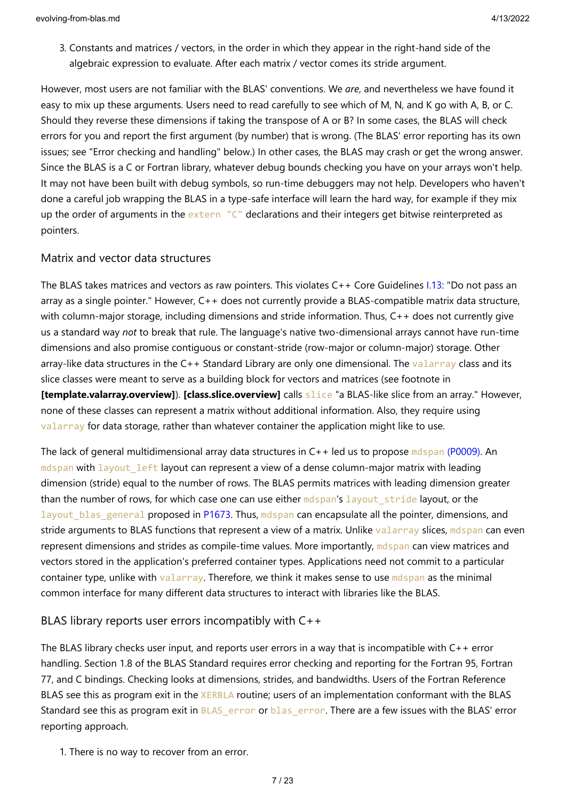3. Constants and matrices / vectors, in the order in which they appear in the right-hand side of the algebraic expression to evaluate. After each matrix / vector comes its stride argument.

However, most users are not familiar with the BLAS' conventions. We *are*, and nevertheless we have found it easy to mix up these arguments. Users need to read carefully to see which of M, N, and K go with A, B, or C. Should they reverse these dimensions if taking the transpose of A or B? In some cases, the BLAS will check errors for you and report the first argument (by number) that is wrong. (The BLAS' error reporting has its own issues; see "Error checking and handling" below.) In other cases, the BLAS may crash or get the wrong answer. Since the BLAS is a C or Fortran library, whatever debug bounds checking you have on your arrays won't help. It may not have been built with debug symbols, so run-time debuggers may not help. Developers who haven't done a careful job wrapping the BLAS in a type-safe interface will learn the hard way, for example if they mix up the order of arguments in the extern "C" declarations and their integers get bitwise reinterpreted as pointers.

### Matrix and vector data structures

The BLAS takes matrices and vectors as raw pointers. This violates C++ Core Guidelines [I.13](https://isocpp.github.io/CppCoreGuidelines/CppCoreGuidelines#i13-do-not-pass-an-array-as-a-single-pointer): "Do not pass an array as a single pointer." However, C++ does not currently provide a BLAS-compatible matrix data structure, with column-major storage, including dimensions and stride information. Thus, C++ does not currently give us a standard way *not* to break that rule. The language's native two-dimensional arrays cannot have run-time dimensions and also promise contiguous or constant-stride (row-major or column-major) storage. Other array-like data structures in the C++ Standard Library are only one dimensional. The valarray class and its slice classes were meant to serve as a building block for vectors and matrices (see footnote in **[template.valarray.overview]**). **[class.slice.overview]** calls slice "a BLAS-like slice from an array." However, none of these classes can represent a matrix without additional information. Also, they require using valarray for data storage, rather than whatever container the application might like to use.

The lack of general multidimensional array data structures in C++ led us to propose mdspan [\(P0009\)](https://wg21.link/p0009). An mdspan with layout left layout can represent a view of a dense column-major matrix with leading dimension (stride) equal to the number of rows. The BLAS permits matrices with leading dimension greater than the number of rows, for which case one can use either mdspan's layout stride layout, or the layout blas general proposed in [P1673](https://wg21.link/p1673). Thus, mdspan can encapsulate all the pointer, dimensions, and stride arguments to BLAS functions that represent a view of a matrix. Unlike valarray slices, mdspan can even represent dimensions and strides as compile-time values. More importantly, molspan can view matrices and vectors stored in the application's preferred container types. Applications need not commit to a particular container type, unlike with valarray. Therefore, we think it makes sense to use mdspan as the minimal common interface for many different data structures to interact with libraries like the BLAS.

### BLAS library reports user errors incompatibly with C++

The BLAS library checks user input, and reports user errors in a way that is incompatible with C++ error handling. Section 1.8 of the BLAS Standard requires error checking and reporting for the Fortran 95, Fortran 77, and C bindings. Checking looks at dimensions, strides, and bandwidths. Users of the Fortran Reference BLAS see this as program exit in the XERBLA routine; users of an implementation conformant with the BLAS Standard see this as program exit in BLAS\_error or blas\_error. There are a few issues with the BLAS' error reporting approach.

1. There is no way to recover from an error.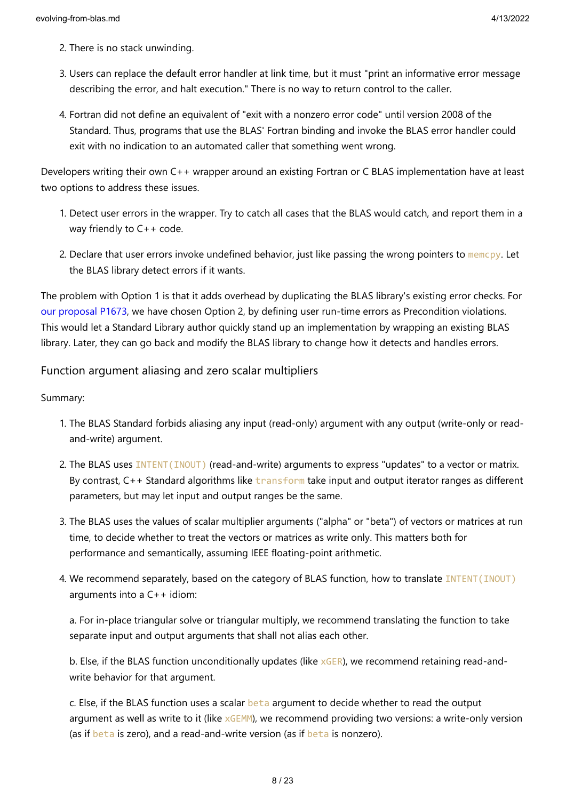- 2. There is no stack unwinding.
- 3. Users can replace the default error handler at link time, but it must "print an informative error message describing the error, and halt execution." There is no way to return control to the caller.
- 4. Fortran did not define an equivalent of "exit with a nonzero error code" until version 2008 of the Standard. Thus, programs that use the BLAS' Fortran binding and invoke the BLAS error handler could exit with no indication to an automated caller that something went wrong.

Developers writing their own C++ wrapper around an existing Fortran or C BLAS implementation have at least two options to address these issues.

- 1. Detect user errors in the wrapper. Try to catch all cases that the BLAS would catch, and report them in a way friendly to C++ code.
- 2. Declare that user errors invoke undefined behavior, just like passing the wrong pointers to memcpy. Let the BLAS library detect errors if it wants.

The problem with Option 1 is that it adds overhead by duplicating the BLAS library's existing error checks. For [our proposal P1673,](https://wg21.link/p1673) we have chosen Option 2, by defining user run-time errors as Precondition violations. This would let a Standard Library author quickly stand up an implementation by wrapping an existing BLAS library. Later, they can go back and modify the BLAS library to change how it detects and handles errors.

### Function argument aliasing and zero scalar multipliers

Summary:

- 1. The BLAS Standard forbids aliasing any input (read-only) argument with any output (write-only or readand-write) argument.
- 2. The BLAS uses INTENT(INOUT) (read-and-write) arguments to express "updates" to a vector or matrix. By contrast,  $C_{++}$  Standard algorithms like transform take input and output iterator ranges as different parameters, but may let input and output ranges be the same.
- 3. The BLAS uses the values of scalar multiplier arguments ("alpha" or "beta") of vectors or matrices at run time, to decide whether to treat the vectors or matrices as write only. This matters both for performance and semantically, assuming IEEE floating-point arithmetic.
- 4. We recommend separately, based on the category of BLAS function, how to translate INTENT(INOUT) arguments into a C++ idiom:

a. For in-place triangular solve or triangular multiply, we recommend translating the function to take separate input and output arguments that shall not alias each other.

b. Else, if the BLAS function unconditionally updates (like  $\times$ GER), we recommend retaining read-andwrite behavior for that argument.

c. Else, if the BLAS function uses a scalar beta argument to decide whether to read the output argument as well as write to it (like xGEMM), we recommend providing two versions: a write-only version (as if beta is zero), and a read-and-write version (as if beta is nonzero).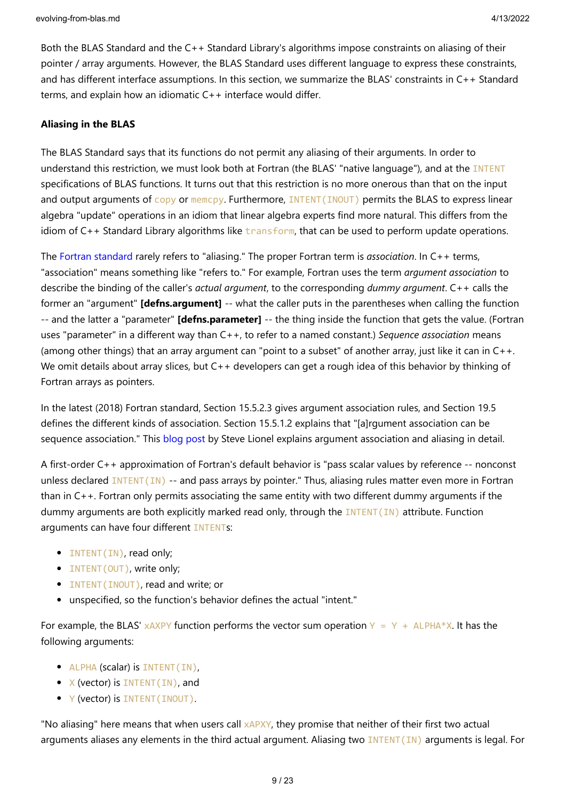Both the BLAS Standard and the C++ Standard Library's algorithms impose constraints on aliasing of their pointer / array arguments. However, the BLAS Standard uses different language to express these constraints, and has different interface assumptions. In this section, we summarize the BLAS' constraints in C++ Standard terms, and explain how an idiomatic C++ interface would differ.

#### **Aliasing in the BLAS**

The BLAS Standard says that its functions do not permit any aliasing of their arguments. In order to understand this restriction, we must look both at Fortran (the BLAS' "native language"), and at the INTENT specifications of BLAS functions. It turns out that this restriction is no more onerous than that on the input and output arguments of copy or memcpy. Furthermore, INTENT (INOUT) permits the BLAS to express linear algebra "update" operations in an idiom that linear algebra experts find more natural. This differs from the idiom of  $C_{++}$  Standard Library algorithms like transform, that can be used to perform update operations.

The [Fortran standard](https://wg5-fortran.org/) rarely refers to "aliasing." The proper Fortran term is *association*. In C++ terms, "association" means something like "refers to." For example, Fortran uses the term *argument association* to describe the binding of the caller's *actual argument*, to the corresponding *dummy argument*. C++ calls the former an "argument" **[defns.argument]** -- what the caller puts in the parentheses when calling the function -- and the latter a "parameter" **[defns.parameter]** -- the thing inside the function that gets the value. (Fortran uses "parameter" in a different way than C++, to refer to a named constant.) *Sequence association* means (among other things) that an array argument can "point to a subset" of another array, just like it can in C++. We omit details about array slices, but C++ developers can get a rough idea of this behavior by thinking of Fortran arrays as pointers.

In the latest (2018) Fortran standard, Section 15.5.2.3 gives argument association rules, and Section 19.5 defines the different kinds of association. Section 15.5.1.2 explains that "[a]rgument association can be sequence association." This [blog post](https://stevelionel.com/drfortran/2009/03/31/doctor-fortran-in-ive-come-here-for-an-argument/) by Steve Lionel explains argument association and aliasing in detail.

A first-order C++ approximation of Fortran's default behavior is "pass scalar values by reference -- nonconst unless declared **INTENT(IN)** -- and pass arrays by pointer." Thus, aliasing rules matter even more in Fortran than in C++. Fortran only permits associating the same entity with two different dummy arguments if the dummy arguments are both explicitly marked read only, through the  $INTENT(IN)$  attribute. Function arguments can have four different INTENTs:

- INTENT(IN), read only;
- INTENT (OUT), write only;
- INTENT(INOUT), read and write; or
- unspecified, so the function's behavior defines the actual "intent."

For example, the BLAS' xAXPY function performs the vector sum operation  $Y = Y + ALPHA*X$ . It has the following arguments:

- ALPHA (scalar) is INTENT(IN),
- X (vector) is INTENT (IN), and
- Y (vector) is INTENT (INOUT).

"No aliasing" here means that when users call xAPXY, they promise that neither of their first two actual arguments aliases any elements in the third actual argument. Aliasing two **INTENT(IN)** arguments is legal. For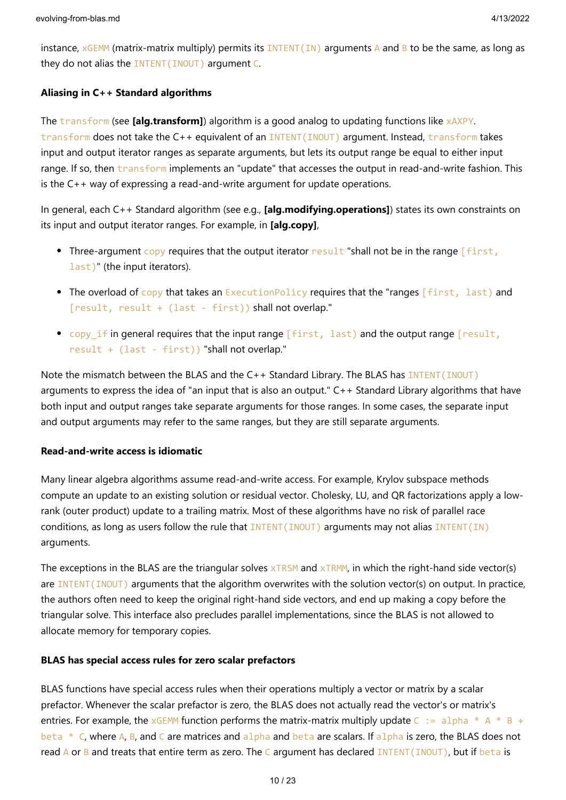instance,  $xGEMM$  (matrix-matrix multiply) permits its INTENT(IN) arguments A and B to be the same, as long as they do not alias the INTENT(INOUT) argument C.

### **Aliasing in C++ Standard algorithms**

The transform (see **[alg.transform]**) algorithm is a good analog to updating functions like xAXPY. transform does not take the C++ equivalent of an INTENT(INOUT) argument. Instead, transform takes input and output iterator ranges as separate arguments, but lets its output range be equal to either input range. If so, then transform implements an "update" that accesses the output in read-and-write fashion. This is the C++ way of expressing a read-and-write argument for update operations.

In general, each C++ Standard algorithm (see e.g., **[alg.modifying.operations]**) states its own constraints on its input and output iterator ranges. For example, in **[alg.copy]**,

- Three-argument copy requires that the output iterator result "shall not be in the range  $\lceil$  first, last)" (the input iterators).
- The overload of copy that takes an ExecutionPolicy requires that the "ranges [first, last) and [result, result + (last - first)) shall not overlap."
- copy\_if in general requires that the input range [first, last) and the output range [result, result + (last - first)) "shall not overlap."

Note the mismatch between the BLAS and the C++ Standard Library. The BLAS has INTENT(INOUT) arguments to express the idea of "an input that is also an output." C++ Standard Library algorithms that have both input and output ranges take separate arguments for those ranges. In some cases, the separate input and output arguments may refer to the same ranges, but they are still separate arguments.

### **Read-and-write access is idiomatic**

Many linear algebra algorithms assume read-and-write access. For example, Krylov subspace methods compute an update to an existing solution or residual vector. Cholesky, LU, and QR factorizations apply a lowrank (outer product) update to a trailing matrix. Most of these algorithms have no risk of parallel race conditions, as long as users follow the rule that  $INTENT(IND)$  arguments may not alias  $INTENT(IN)$ arguments.

The exceptions in the BLAS are the triangular solves  $xTRSM$  and  $xTRMM$ , in which the right-hand side vector(s) are  $INTENT(INOUT)$  arguments that the algorithm overwrites with the solution vector(s) on output. In practice, the authors often need to keep the original right-hand side vectors, and end up making a copy before the triangular solve. This interface also precludes parallel implementations, since the BLAS is not allowed to allocate memory for temporary copies.

### **BLAS has special access rules for zero scalar prefactors**

BLAS functions have special access rules when their operations multiply a vector or matrix by a scalar prefactor. Whenever the scalar prefactor is zero, the BLAS does not actually read the vector's or matrix's entries. For example, the xGEMM function performs the matrix-matrix multiply update C := alpha \* A \* B + beta \* C, where A, B, and C are matrices and alpha and beta are scalars. If alpha is zero, the BLAS does not read A or B and treats that entire term as zero. The C argument has declared INTENT(INOUT), but if beta is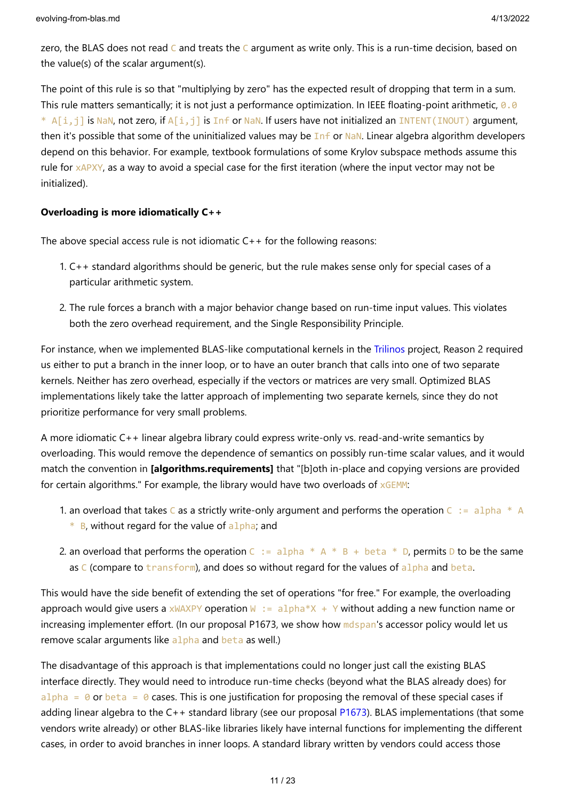zero, the BLAS does not read C and treats the C argument as write only. This is a run-time decision, based on the value(s) of the scalar argument(s).

The point of this rule is so that "multiplying by zero" has the expected result of dropping that term in a sum. This rule matters semantically; it is not just a performance optimization. In IEEE floating-point arithmetic,  $\theta$ . 0 \* A[i,j] is NaN, not zero, if A[i,j] is Inf or NaN. If users have not initialized an INTENT(INOUT) argument, then it's possible that some of the uninitialized values may be Inf or NaN. Linear algebra algorithm developers depend on this behavior. For example, textbook formulations of some Krylov subspace methods assume this rule for xAPXY, as a way to avoid a special case for the first iteration (where the input vector may not be initialized).

### **Overloading is more idiomatically C++**

The above special access rule is not idiomatic  $C++$  for the following reasons:

- 1. C++ standard algorithms should be generic, but the rule makes sense only for special cases of a particular arithmetic system.
- 2. The rule forces a branch with a major behavior change based on run-time input values. This violates both the zero overhead requirement, and the Single Responsibility Principle.

For instance, when we implemented BLAS-like computational kernels in the [Trilinos](https://github.com/trilinos/Trilinos) project, Reason 2 required us either to put a branch in the inner loop, or to have an outer branch that calls into one of two separate kernels. Neither has zero overhead, especially if the vectors or matrices are very small. Optimized BLAS implementations likely take the latter approach of implementing two separate kernels, since they do not prioritize performance for very small problems.

A more idiomatic C++ linear algebra library could express write-only vs. read-and-write semantics by overloading. This would remove the dependence of semantics on possibly run-time scalar values, and it would match the convention in **[algorithms.requirements]** that "[b]oth in-place and copying versions are provided for certain algorithms." For example, the library would have two overloads of  $xGEMM$ :

- 1. an overload that takes C as a strictly write-only argument and performs the operation  $C := \text{alpha} * A$ 
	- $*$  B, without regard for the value of alpha; and
- 2. an overload that performs the operation  $C := \alpha 1$  pha  $* A * B + \beta 1$  beta  $* D$ , permits D to be the same as  $C$  (compare to transform), and does so without regard for the values of alpha and beta.

This would have the side benefit of extending the set of operations "for free." For example, the overloading approach would give users a  $x$ WAXPY operation W := alpha\*X + Y without adding a new function name or increasing implementer effort. (In our proposal P1673, we show how mdspan's accessor policy would let us remove scalar arguments like alpha and beta as well.)

The disadvantage of this approach is that implementations could no longer just call the existing BLAS interface directly. They would need to introduce run-time checks (beyond what the BLAS already does) for alpha =  $\theta$  or beta =  $\theta$  cases. This is one justification for proposing the removal of these special cases if adding linear algebra to the C++ standard library (see our proposal [P1673\)](https://wg21.link/p1673). BLAS implementations (that some vendors write already) or other BLAS-like libraries likely have internal functions for implementing the different cases, in order to avoid branches in inner loops. A standard library written by vendors could access those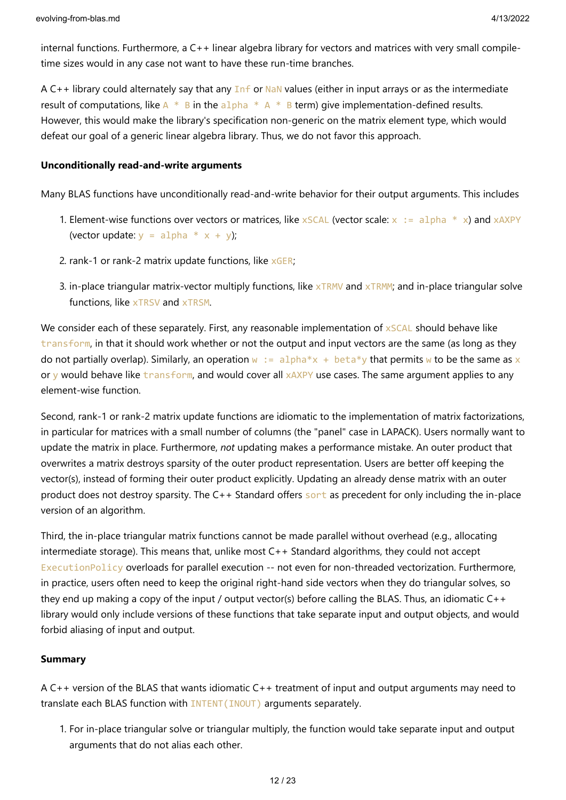internal functions. Furthermore, a C++ linear algebra library for vectors and matrices with very small compiletime sizes would in any case not want to have these run-time branches.

A C++ library could alternately say that any  $Inf$  or NaN values (either in input arrays or as the intermediate result of computations, like  $A * B$  in the alpha  $A * B$  term) give implementation-defined results. However, this would make the library's specification non-generic on the matrix element type, which would defeat our goal of a generic linear algebra library. Thus, we do not favor this approach.

### **Unconditionally read-and-write arguments**

Many BLAS functions have unconditionally read-and-write behavior for their output arguments. This includes

- 1. Element-wise functions over vectors or matrices, like  $x$  SCAL (vector scale:  $x := a1$ pha  $* x$ ) and  $x$ AXPY (vector update:  $y = alpha * x + y$ );
- 2. rank-1 or rank-2 matrix update functions, like  $xGER$ ;
- 3. in-place triangular matrix-vector multiply functions, like xTRMV and xTRMM; and in-place triangular solve functions, like xTRSV and xTRSM.

We consider each of these separately. First, any reasonable implementation of xSCAL should behave like transform, in that it should work whether or not the output and input vectors are the same (as long as they do not partially overlap). Similarly, an operation  $w := \text{alpha} * x + \text{beta} * y$  that permits w to be the same as x or y would behave like transform, and would cover all xAXPY use cases. The same argument applies to any element-wise function.

Second, rank-1 or rank-2 matrix update functions are idiomatic to the implementation of matrix factorizations, in particular for matrices with a small number of columns (the "panel" case in LAPACK). Users normally want to update the matrix in place. Furthermore, *not* updating makes a performance mistake. An outer product that overwrites a matrix destroys sparsity of the outer product representation. Users are better off keeping the vector(s), instead of forming their outer product explicitly. Updating an already dense matrix with an outer product does not destroy sparsity. The C++ Standard offers sont as precedent for only including the in-place version of an algorithm.

Third, the in-place triangular matrix functions cannot be made parallel without overhead (e.g., allocating intermediate storage). This means that, unlike most C++ Standard algorithms, they could not accept ExecutionPolicy overloads for parallel execution -- not even for non-threaded vectorization. Furthermore, in practice, users often need to keep the original right-hand side vectors when they do triangular solves, so they end up making a copy of the input / output vector(s) before calling the BLAS. Thus, an idiomatic  $C++$ library would only include versions of these functions that take separate input and output objects, and would forbid aliasing of input and output.

### **Summary**

A C++ version of the BLAS that wants idiomatic C++ treatment of input and output arguments may need to translate each BLAS function with INTENT(INOUT) arguments separately.

1. For in-place triangular solve or triangular multiply, the function would take separate input and output arguments that do not alias each other.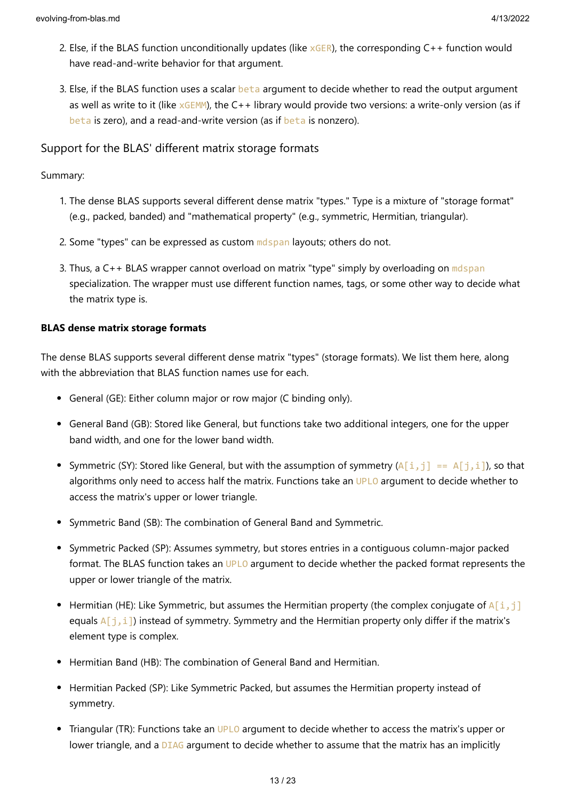- 2. Else, if the BLAS function unconditionally updates (like  $xGER$ ), the corresponding  $C++$  function would have read-and-write behavior for that argument.
- 3. Else, if the BLAS function uses a scalar beta argument to decide whether to read the output argument as well as write to it (like  $xGEMM$ ), the C++ library would provide two versions: a write-only version (as if beta is zero), and a read-and-write version (as if beta is nonzero).

### Support for the BLAS' different matrix storage formats

### Summary:

- 1. The dense BLAS supports several different dense matrix "types." Type is a mixture of "storage format" (e.g., packed, banded) and "mathematical property" (e.g., symmetric, Hermitian, triangular).
- 2. Some "types" can be expressed as custom molspan layouts; others do not.
- 3. Thus, a  $C_{++}$  BLAS wrapper cannot overload on matrix "type" simply by overloading on mdspan specialization. The wrapper must use different function names, tags, or some other way to decide what the matrix type is.

### **BLAS dense matrix storage formats**

The dense BLAS supports several different dense matrix "types" (storage formats). We list them here, along with the abbreviation that BLAS function names use for each.

- General (GE): Either column major or row major (C binding only).
- General Band (GB): Stored like General, but functions take two additional integers, one for the upper band width, and one for the lower band width.
- Symmetric (SY): Stored like General, but with the assumption of symmetry  $(A[i,j] = A[j,i])$ , so that algorithms only need to access half the matrix. Functions take an UPLO argument to decide whether to access the matrix's upper or lower triangle.
- Symmetric Band (SB): The combination of General Band and Symmetric.
- Symmetric Packed (SP): Assumes symmetry, but stores entries in a contiguous column-major packed format. The BLAS function takes an UPLO argument to decide whether the packed format represents the upper or lower triangle of the matrix.
- Hermitian (HE): Like Symmetric, but assumes the Hermitian property (the complex conjugate of  $A[i,j]$ equals  $A[i, i]$ ) instead of symmetry. Symmetry and the Hermitian property only differ if the matrix's element type is complex.
- Hermitian Band (HB): The combination of General Band and Hermitian.
- Hermitian Packed (SP): Like Symmetric Packed, but assumes the Hermitian property instead of symmetry.
- Triangular (TR): Functions take an UPLO argument to decide whether to access the matrix's upper or lower triangle, and a DIAG argument to decide whether to assume that the matrix has an implicitly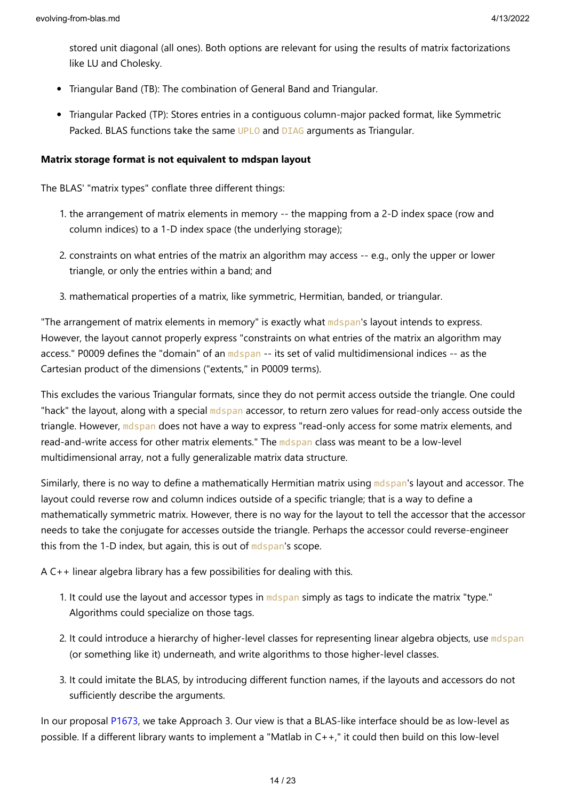stored unit diagonal (all ones). Both options are relevant for using the results of matrix factorizations like LU and Cholesky.

- Triangular Band (TB): The combination of General Band and Triangular.
- Triangular Packed (TP): Stores entries in a contiguous column-major packed format, like Symmetric Packed. BLAS functions take the same UPLO and DIAG arguments as Triangular.

#### **Matrix storage format is not equivalent to mdspan layout**

The BLAS' "matrix types" conflate three different things:

- 1. the arrangement of matrix elements in memory -- the mapping from a 2-D index space (row and column indices) to a 1-D index space (the underlying storage);
- 2. constraints on what entries of the matrix an algorithm may access -- e.g., only the upper or lower triangle, or only the entries within a band; and
- 3. mathematical properties of a matrix, like symmetric, Hermitian, banded, or triangular.

"The arrangement of matrix elements in memory" is exactly what mdspan's layout intends to express. However, the layout cannot properly express "constraints on what entries of the matrix an algorithm may access." P0009 defines the "domain" of an mdspan -- its set of valid multidimensional indices -- as the Cartesian product of the dimensions ("extents," in P0009 terms).

This excludes the various Triangular formats, since they do not permit access outside the triangle. One could "hack" the layout, along with a special mdspan accessor, to return zero values for read-only access outside the triangle. However, mdspan does not have a way to express "read-only access for some matrix elements, and read-and-write access for other matrix elements." The mdspan class was meant to be a low-level multidimensional array, not a fully generalizable matrix data structure.

Similarly, there is no way to define a mathematically Hermitian matrix using mdspan's layout and accessor. The layout could reverse row and column indices outside of a specific triangle; that is a way to define a mathematically symmetric matrix. However, there is no way for the layout to tell the accessor that the accessor needs to take the conjugate for accesses outside the triangle. Perhaps the accessor could reverse-engineer this from the 1-D index, but again, this is out of mdspan's scope.

A C++ linear algebra library has a few possibilities for dealing with this.

- 1. It could use the layout and accessor types in mdspan simply as tags to indicate the matrix "type." Algorithms could specialize on those tags.
- 2. It could introduce a hierarchy of higher-level classes for representing linear algebra objects, use mdspan (or something like it) underneath, and write algorithms to those higher-level classes.
- 3. It could imitate the BLAS, by introducing different function names, if the layouts and accessors do not sufficiently describe the arguments.

In our proposal [P1673](https://wg21.link/p1673), we take Approach 3. Our view is that a BLAS-like interface should be as low-level as possible. If a different library wants to implement a "Matlab in C++," it could then build on this low-level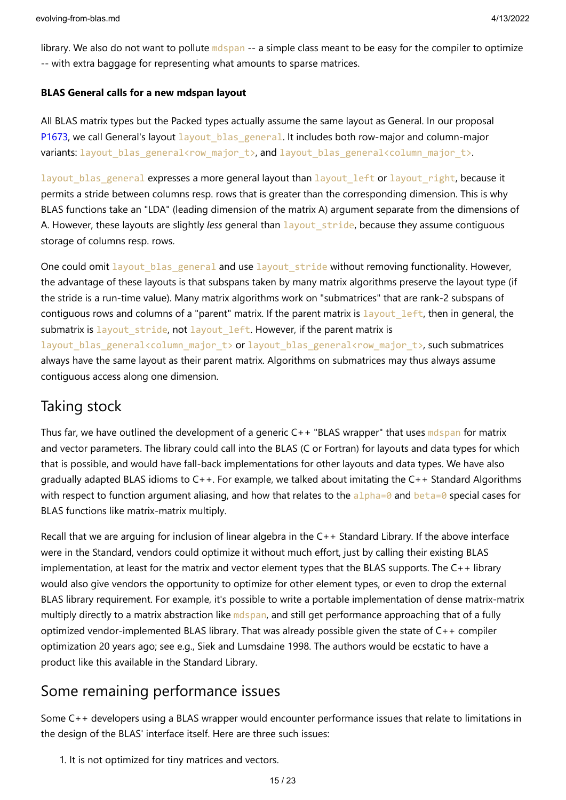library. We also do not want to pollute mdspan -- a simple class meant to be easy for the compiler to optimize -- with extra baggage for representing what amounts to sparse matrices.

### **BLAS General calls for a new mdspan layout**

All BLAS matrix types but the Packed types actually assume the same layout as General. In our proposal [P1673](https://wg21.link/p1673), we call General's layout layout blas general. It includes both row-major and column-major variants: layout\_blas\_general<row\_major\_t>, and layout\_blas\_general<column\_major\_t>.

layout blas general expresses a more general layout than layout left or layout right, because it permits a stride between columns resp. rows that is greater than the corresponding dimension. This is why BLAS functions take an "LDA" (leading dimension of the matrix A) argument separate from the dimensions of A. However, these layouts are slightly *less* general than layout\_stride, because they assume contiguous storage of columns resp. rows.

One could omit layout blas general and use layout\_stride without removing functionality. However, the advantage of these layouts is that subspans taken by many matrix algorithms preserve the layout type (if the stride is a run-time value). Many matrix algorithms work on "submatrices" that are rank-2 subspans of contiguous rows and columns of a "parent" matrix. If the parent matrix is layout left, then in general, the submatrix is layout stride, not layout left. However, if the parent matrix is layout blas general<column major t> or layout blas general<row major t>, such submatrices always have the same layout as their parent matrix. Algorithms on submatrices may thus always assume contiguous access along one dimension.

# Taking stock

Thus far, we have outlined the development of a generic  $C_{++}$  "BLAS wrapper" that uses molspan for matrix and vector parameters. The library could call into the BLAS (C or Fortran) for layouts and data types for which that is possible, and would have fall-back implementations for other layouts and data types. We have also gradually adapted BLAS idioms to C++. For example, we talked about imitating the C++ Standard Algorithms with respect to function argument aliasing, and how that relates to the alpha=0 and beta=0 special cases for BLAS functions like matrix-matrix multiply.

Recall that we are arguing for inclusion of linear algebra in the C++ Standard Library. If the above interface were in the Standard, vendors could optimize it without much effort, just by calling their existing BLAS implementation, at least for the matrix and vector element types that the BLAS supports. The C++ library would also give vendors the opportunity to optimize for other element types, or even to drop the external BLAS library requirement. For example, it's possible to write a portable implementation of dense matrix-matrix multiply directly to a matrix abstraction like mdspan, and still get performance approaching that of a fully optimized vendor-implemented BLAS library. That was already possible given the state of C++ compiler optimization 20 years ago; see e.g., Siek and Lumsdaine 1998. The authors would be ecstatic to have a product like this available in the Standard Library.

# Some remaining performance issues

Some C++ developers using a BLAS wrapper would encounter performance issues that relate to limitations in the design of the BLAS' interface itself. Here are three such issues:

1. It is not optimized for tiny matrices and vectors.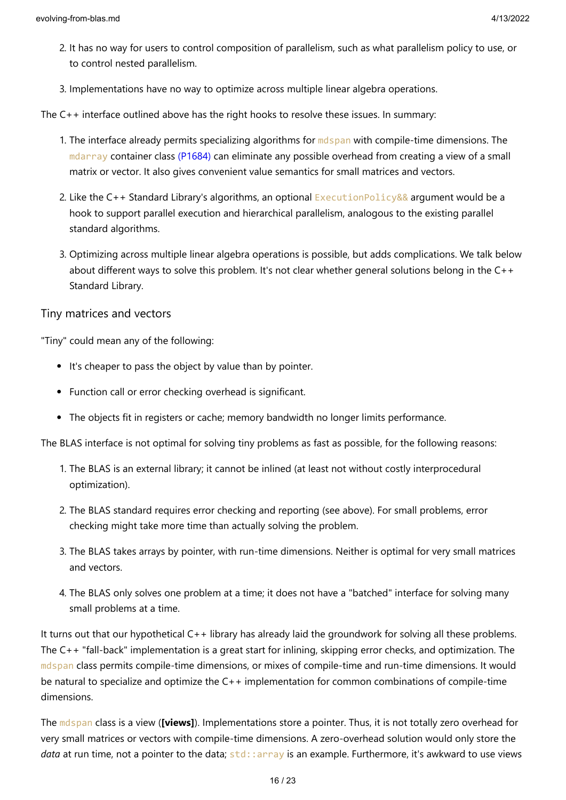- 2. It has no way for users to control composition of parallelism, such as what parallelism policy to use, or to control nested parallelism.
- 3. Implementations have no way to optimize across multiple linear algebra operations.

The C++ interface outlined above has the right hooks to resolve these issues. In summary:

- 1. The interface already permits specializing algorithms for mdspan with compile-time dimensions. The mdarray container class [\(P1684\)](https://wg21.link/p1684) can eliminate any possible overhead from creating a view of a small matrix or vector. It also gives convenient value semantics for small matrices and vectors.
- 2. Like the  $C_{++}$  Standard Library's algorithms, an optional ExecutionPolicy&& argument would be a hook to support parallel execution and hierarchical parallelism, analogous to the existing parallel standard algorithms.
- 3. Optimizing across multiple linear algebra operations is possible, but adds complications. We talk below about different ways to solve this problem. It's not clear whether general solutions belong in the C++ Standard Library.

### Tiny matrices and vectors

"Tiny" could mean any of the following:

- It's cheaper to pass the object by value than by pointer.
- Function call or error checking overhead is significant.
- The objects fit in registers or cache; memory bandwidth no longer limits performance.

The BLAS interface is not optimal for solving tiny problems as fast as possible, for the following reasons:

- 1. The BLAS is an external library; it cannot be inlined (at least not without costly interprocedural optimization).
- 2. The BLAS standard requires error checking and reporting (see above). For small problems, error checking might take more time than actually solving the problem.
- 3. The BLAS takes arrays by pointer, with run-time dimensions. Neither is optimal for very small matrices and vectors.
- 4. The BLAS only solves one problem at a time; it does not have a "batched" interface for solving many small problems at a time.

It turns out that our hypothetical C++ library has already laid the groundwork for solving all these problems. The C++ "fall-back" implementation is a great start for inlining, skipping error checks, and optimization. The mdspan class permits compile-time dimensions, or mixes of compile-time and run-time dimensions. It would be natural to specialize and optimize the C++ implementation for common combinations of compile-time dimensions.

The mdspan class is a view (**[views]**). Implementations store a pointer. Thus, it is not totally zero overhead for very small matrices or vectors with compile-time dimensions. A zero-overhead solution would only store the data at run time, not a pointer to the data; std::array is an example. Furthermore, it's awkward to use views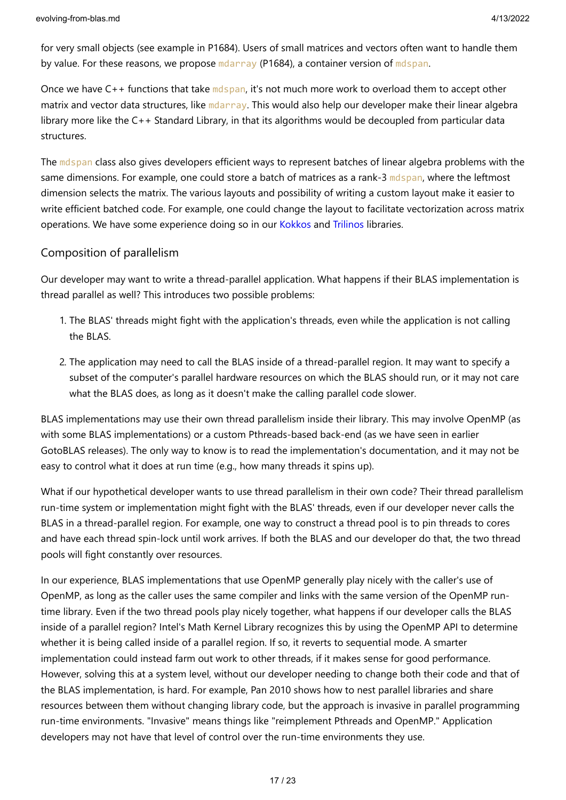for very small objects (see example in P1684). Users of small matrices and vectors often want to handle them by value. For these reasons, we propose mdarray (P1684), a container version of mdspan.

Once we have C++ functions that take mdspan, it's not much more work to overload them to accept other matrix and vector data structures, like mdarray. This would also help our developer make their linear algebra library more like the C++ Standard Library, in that its algorithms would be decoupled from particular data structures.

The mdspan class also gives developers efficient ways to represent batches of linear algebra problems with the same dimensions. For example, one could store a batch of matrices as a rank-3 mdspan, where the leftmost dimension selects the matrix. The various layouts and possibility of writing a custom layout make it easier to write efficient batched code. For example, one could change the layout to facilitate vectorization across matrix operations. We have some experience doing so in our [Kokkos](https://github.com/kokkos) and [Trilinos](https://github.com/trilinos/Trilinos) libraries.

### Composition of parallelism

Our developer may want to write a thread-parallel application. What happens if their BLAS implementation is thread parallel as well? This introduces two possible problems:

- 1. The BLAS' threads might fight with the application's threads, even while the application is not calling the BLAS.
- 2. The application may need to call the BLAS inside of a thread-parallel region. It may want to specify a subset of the computer's parallel hardware resources on which the BLAS should run, or it may not care what the BLAS does, as long as it doesn't make the calling parallel code slower.

BLAS implementations may use their own thread parallelism inside their library. This may involve OpenMP (as with some BLAS implementations) or a custom Pthreads-based back-end (as we have seen in earlier GotoBLAS releases). The only way to know is to read the implementation's documentation, and it may not be easy to control what it does at run time (e.g., how many threads it spins up).

What if our hypothetical developer wants to use thread parallelism in their own code? Their thread parallelism run-time system or implementation might fight with the BLAS' threads, even if our developer never calls the BLAS in a thread-parallel region. For example, one way to construct a thread pool is to pin threads to cores and have each thread spin-lock until work arrives. If both the BLAS and our developer do that, the two thread pools will fight constantly over resources.

In our experience, BLAS implementations that use OpenMP generally play nicely with the caller's use of OpenMP, as long as the caller uses the same compiler and links with the same version of the OpenMP runtime library. Even if the two thread pools play nicely together, what happens if our developer calls the BLAS inside of a parallel region? Intel's Math Kernel Library recognizes this by using the OpenMP API to determine whether it is being called inside of a parallel region. If so, it reverts to sequential mode. A smarter implementation could instead farm out work to other threads, if it makes sense for good performance. However, solving this at a system level, without our developer needing to change both their code and that of the BLAS implementation, is hard. For example, Pan 2010 shows how to nest parallel libraries and share resources between them without changing library code, but the approach is invasive in parallel programming run-time environments. "Invasive" means things like "reimplement Pthreads and OpenMP." Application developers may not have that level of control over the run-time environments they use.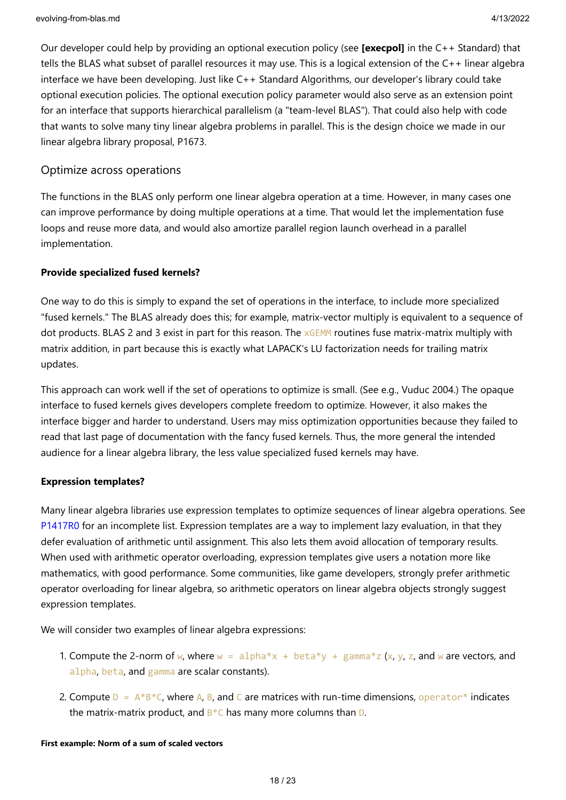Our developer could help by providing an optional execution policy (see **[execpol]** in the C++ Standard) that tells the BLAS what subset of parallel resources it may use. This is a logical extension of the C++ linear algebra interface we have been developing. Just like C++ Standard Algorithms, our developer's library could take optional execution policies. The optional execution policy parameter would also serve as an extension point for an interface that supports hierarchical parallelism (a "team-level BLAS"). That could also help with code that wants to solve many tiny linear algebra problems in parallel. This is the design choice we made in our linear algebra library proposal, P1673.

### Optimize across operations

The functions in the BLAS only perform one linear algebra operation at a time. However, in many cases one can improve performance by doing multiple operations at a time. That would let the implementation fuse loops and reuse more data, and would also amortize parallel region launch overhead in a parallel implementation.

#### **Provide specialized fused kernels?**

One way to do this is simply to expand the set of operations in the interface, to include more specialized "fused kernels." The BLAS already does this; for example, matrix-vector multiply is equivalent to a sequence of dot products. BLAS 2 and 3 exist in part for this reason. The  $xGEMM$  routines fuse matrix-matrix multiply with matrix addition, in part because this is exactly what LAPACK's LU factorization needs for trailing matrix updates.

This approach can work well if the set of operations to optimize is small. (See e.g., Vuduc 2004.) The opaque interface to fused kernels gives developers complete freedom to optimize. However, it also makes the interface bigger and harder to understand. Users may miss optimization opportunities because they failed to read that last page of documentation with the fancy fused kernels. Thus, the more general the intended audience for a linear algebra library, the less value specialized fused kernels may have.

#### **Expression templates?**

Many linear algebra libraries use expression templates to optimize sequences of linear algebra operations. See [P1417R0](http://wg21.link/p1417r0) for an incomplete list. Expression templates are a way to implement lazy evaluation, in that they defer evaluation of arithmetic until assignment. This also lets them avoid allocation of temporary results. When used with arithmetic operator overloading, expression templates give users a notation more like mathematics, with good performance. Some communities, like game developers, strongly prefer arithmetic operator overloading for linear algebra, so arithmetic operators on linear algebra objects strongly suggest expression templates.

We will consider two examples of linear algebra expressions:

- 1. Compute the 2-norm of w, where  $w = \text{alpha} * x + \text{beta} * y + \text{gamma} * z$  (x, y, z, and w are vectors, and alpha, beta, and gamma are scalar constants).
- 2. Compute  $D = A*B*C$ , where A, B, and C are matrices with run-time dimensions, operator<sup>\*</sup> indicates the matrix-matrix product, and  $B*C$  has many more columns than D.

#### **First example: Norm of a sum of scaled vectors**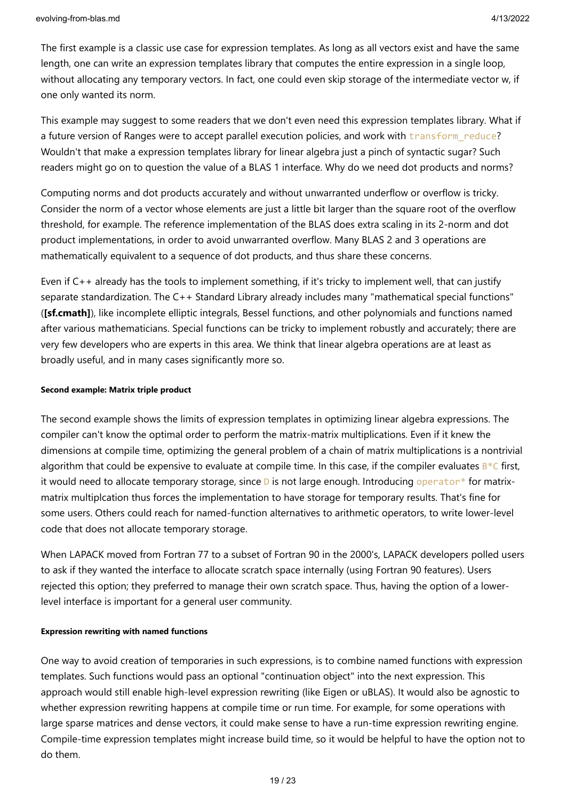The first example is a classic use case for expression templates. As long as all vectors exist and have the same length, one can write an expression templates library that computes the entire expression in a single loop, without allocating any temporary vectors. In fact, one could even skip storage of the intermediate vector w, if one only wanted its norm.

This example may suggest to some readers that we don't even need this expression templates library. What if a future version of Ranges were to accept parallel execution policies, and work with transform reduce? Wouldn't that make a expression templates library for linear algebra just a pinch of syntactic sugar? Such readers might go on to question the value of a BLAS 1 interface. Why do we need dot products and norms?

Computing norms and dot products accurately and without unwarranted underflow or overflow is tricky. Consider the norm of a vector whose elements are just a little bit larger than the square root of the overflow threshold, for example. The reference implementation of the BLAS does extra scaling in its 2-norm and dot product implementations, in order to avoid unwarranted overflow. Many BLAS 2 and 3 operations are mathematically equivalent to a sequence of dot products, and thus share these concerns.

Even if C++ already has the tools to implement something, if it's tricky to implement well, that can justify separate standardization. The C++ Standard Library already includes many "mathematical special functions" (**[sf.cmath]**), like incomplete elliptic integrals, Bessel functions, and other polynomials and functions named after various mathematicians. Special functions can be tricky to implement robustly and accurately; there are very few developers who are experts in this area. We think that linear algebra operations are at least as broadly useful, and in many cases significantly more so.

#### **Second example: Matrix triple product**

The second example shows the limits of expression templates in optimizing linear algebra expressions. The compiler can't know the optimal order to perform the matrix-matrix multiplications. Even if it knew the dimensions at compile time, optimizing the general problem of a chain of matrix multiplications is a nontrivial algorithm that could be expensive to evaluate at compile time. In this case, if the compiler evaluates  $B^*C$  first, it would need to allocate temporary storage, since  $D$  is not large enough. Introducing operator\* for matrixmatrix multiplcation thus forces the implementation to have storage for temporary results. That's fine for some users. Others could reach for named-function alternatives to arithmetic operators, to write lower-level code that does not allocate temporary storage.

When LAPACK moved from Fortran 77 to a subset of Fortran 90 in the 2000's, LAPACK developers polled users to ask if they wanted the interface to allocate scratch space internally (using Fortran 90 features). Users rejected this option; they preferred to manage their own scratch space. Thus, having the option of a lowerlevel interface is important for a general user community.

#### **Expression rewriting with named functions**

One way to avoid creation of temporaries in such expressions, is to combine named functions with expression templates. Such functions would pass an optional "continuation object" into the next expression. This approach would still enable high-level expression rewriting (like Eigen or uBLAS). It would also be agnostic to whether expression rewriting happens at compile time or run time. For example, for some operations with large sparse matrices and dense vectors, it could make sense to have a run-time expression rewriting engine. Compile-time expression templates might increase build time, so it would be helpful to have the option not to do them.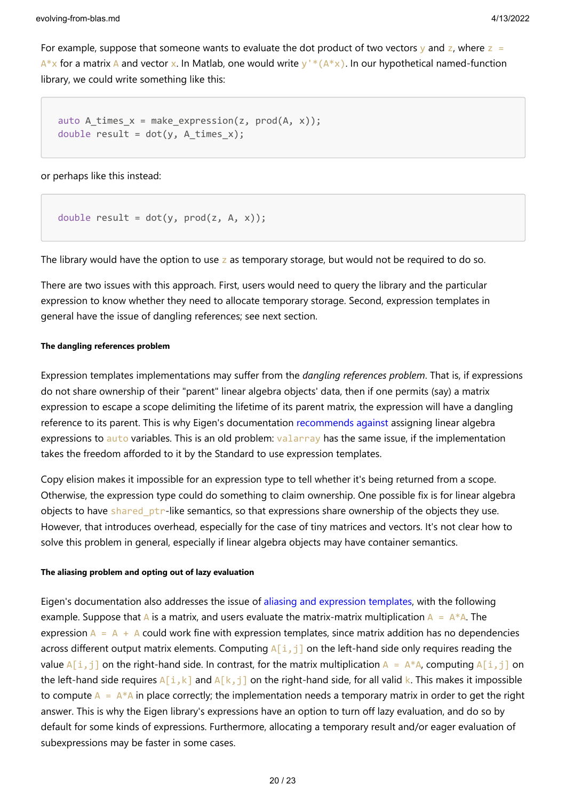evolving-from-blas.md 4/13/2022

For example, suppose that someone wants to evaluate the dot product of two vectors y and z, where  $z =$  $A^*x$  for a matrix A and vector x. In Matlab, one would write y'  $*(A^*x)$ . In our hypothetical named-function library, we could write something like this:

```
auto A times x = make expression(z, prod(A, x));
double result = dot(y, A_times_x);
```
or perhaps like this instead:

```
double result = dot(y, prod(z, A, x));
```
The library would have the option to use z as temporary storage, but would not be required to do so.

There are two issues with this approach. First, users would need to query the library and the particular expression to know whether they need to allocate temporary storage. Second, expression templates in general have the issue of dangling references; see next section.

#### **The dangling references problem**

Expression templates implementations may suffer from the *dangling references problem*. That is, if expressions do not share ownership of their "parent" linear algebra objects' data, then if one permits (say) a matrix expression to escape a scope delimiting the lifetime of its parent matrix, the expression will have a dangling reference to its parent. This is why Eigen's documentation [recommends against](https://eigen.tuxfamily.org/dox/TopicPitfalls.html) assigning linear algebra expressions to auto variables. This is an old problem: valarray has the same issue, if the implementation takes the freedom afforded to it by the Standard to use expression templates.

Copy elision makes it impossible for an expression type to tell whether it's being returned from a scope. Otherwise, the expression type could do something to claim ownership. One possible fix is for linear algebra objects to have shared  $p\text{tr-like semantics}$ , so that expressions share ownership of the objects they use. However, that introduces overhead, especially for the case of tiny matrices and vectors. It's not clear how to solve this problem in general, especially if linear algebra objects may have container semantics.

#### **The aliasing problem and opting out of lazy evaluation**

Eigen's documentation also addresses the issue of [aliasing and expression templates,](http://eigen.tuxfamily.org/dox/TopicLazyEvaluation.html) with the following example. Suppose that A is a matrix, and users evaluate the matrix-matrix multiplication  $A = A^*A$ . The expression  $A = A + A$  could work fine with expression templates, since matrix addition has no dependencies across different output matrix elements. Computing  $A[i,j]$  on the left-hand side only requires reading the value  $A[i,j]$  on the right-hand side. In contrast, for the matrix multiplication  $A = A*A$ , computing  $A[i,j]$  on the left-hand side requires  $A[i,k]$  and  $A[k,j]$  on the right-hand side, for all valid k. This makes it impossible to compute  $A = A^*A$  in place correctly; the implementation needs a temporary matrix in order to get the right answer. This is why the Eigen library's expressions have an option to turn off lazy evaluation, and do so by default for some kinds of expressions. Furthermore, allocating a temporary result and/or eager evaluation of subexpressions may be faster in some cases.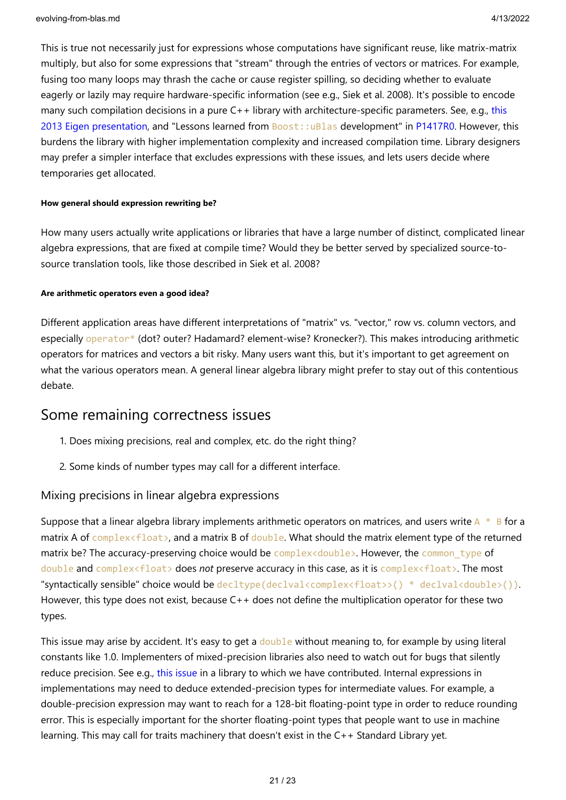This is true not necessarily just for expressions whose computations have significant reuse, like matrix-matrix multiply, but also for some expressions that "stream" through the entries of vectors or matrices. For example, fusing too many loops may thrash the cache or cause register spilling, so deciding whether to evaluate eagerly or lazily may require hardware-specific information (see e.g., Siek et al. 2008). It's possible to encode [many such compilation decisions in a pure C++ library with architecture-specific parameters. See, e.g., this](http://downloads.tuxfamily.org/eigen/eigen_CGLibs_Giugno_Pisa_2013.pdf) 2013 Eigen presentation, and "Lessons learned from Boost::uBlas development" in [P1417R0](http://wg21.link/p1417r0). However, this burdens the library with higher implementation complexity and increased compilation time. Library designers may prefer a simpler interface that excludes expressions with these issues, and lets users decide where temporaries get allocated.

#### **How general should expression rewriting be?**

How many users actually write applications or libraries that have a large number of distinct, complicated linear algebra expressions, that are fixed at compile time? Would they be better served by specialized source-tosource translation tools, like those described in Siek et al. 2008?

#### **Are arithmetic operators even a good idea?**

Different application areas have different interpretations of "matrix" vs. "vector," row vs. column vectors, and especially operator\* (dot? outer? Hadamard? element-wise? Kronecker?). This makes introducing arithmetic operators for matrices and vectors a bit risky. Many users want this, but it's important to get agreement on what the various operators mean. A general linear algebra library might prefer to stay out of this contentious debate.

### Some remaining correctness issues

- 1. Does mixing precisions, real and complex, etc. do the right thing?
- 2. Some kinds of number types may call for a different interface.

### Mixing precisions in linear algebra expressions

Suppose that a linear algebra library implements arithmetic operators on matrices, and users write  $A * B$  for a matrix A of complex<float>, and a matrix B of double. What should the matrix element type of the returned matrix be? The accuracy-preserving choice would be complex<double>. However, the common type of double and complex<float> does *not* preserve accuracy in this case, as it is complex<float>. The most "syntactically sensible" choice would be decltype(declval<complex<float>>() \* declval<double>()). However, this type does not exist, because C++ does not define the multiplication operator for these two types.

This issue may arise by accident. It's easy to get a double without meaning to, for example by using literal constants like 1.0. Implementers of mixed-precision libraries also need to watch out for bugs that silently reduce precision. See e.g., [this issue](https://github.com/kokkos/kokkos-kernels/issues/101) in a library to which we have contributed. Internal expressions in implementations may need to deduce extended-precision types for intermediate values. For example, a double-precision expression may want to reach for a 128-bit floating-point type in order to reduce rounding error. This is especially important for the shorter floating-point types that people want to use in machine learning. This may call for traits machinery that doesn't exist in the C++ Standard Library yet.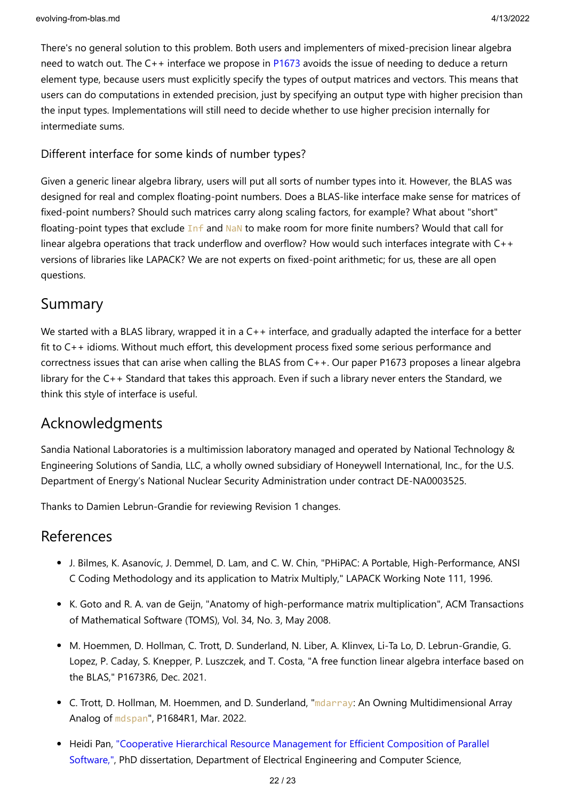There's no general solution to this problem. Both users and implementers of mixed-precision linear algebra need to watch out. The C++ interface we propose in [P1673](https://wg21.link/p1673) avoids the issue of needing to deduce a return element type, because users must explicitly specify the types of output matrices and vectors. This means that users can do computations in extended precision, just by specifying an output type with higher precision than the input types. Implementations will still need to decide whether to use higher precision internally for intermediate sums.

### Different interface for some kinds of number types?

Given a generic linear algebra library, users will put all sorts of number types into it. However, the BLAS was designed for real and complex floating-point numbers. Does a BLAS-like interface make sense for matrices of fixed-point numbers? Should such matrices carry along scaling factors, for example? What about "short" floating-point types that exclude Inf and NaN to make room for more finite numbers? Would that call for linear algebra operations that track underflow and overflow? How would such interfaces integrate with C++ versions of libraries like LAPACK? We are not experts on fixed-point arithmetic; for us, these are all open questions.

# Summary

We started with a BLAS library, wrapped it in a C++ interface, and gradually adapted the interface for a better fit to C++ idioms. Without much effort, this development process fixed some serious performance and correctness issues that can arise when calling the BLAS from C++. Our paper P1673 proposes a linear algebra library for the C++ Standard that takes this approach. Even if such a library never enters the Standard, we think this style of interface is useful.

# Acknowledgments

Sandia National Laboratories is a multimission laboratory managed and operated by National Technology & Engineering Solutions of Sandia, LLC, a wholly owned subsidiary of Honeywell International, Inc., for the U.S. Department of Energy's National Nuclear Security Administration under contract DE-NA0003525.

Thanks to Damien Lebrun-Grandie for reviewing Revision 1 changes.

### References

- J. Bilmes, K. Asanovíc, J. Demmel, D. Lam, and C. W. Chin, "PHiPAC: A Portable, High-Performance, ANSI C Coding Methodology and its application to Matrix Multiply," LAPACK Working Note 111, 1996.
- K. Goto and R. A. van de Geijn, "Anatomy of high-performance matrix multiplication", ACM Transactions of Mathematical Software (TOMS), Vol. 34, No. 3, May 2008.
- M. Hoemmen, D. Hollman, C. Trott, D. Sunderland, N. Liber, A. Klinvex, Li-Ta Lo, D. Lebrun-Grandie, G. Lopez, P. Caday, S. Knepper, P. Luszczek, and T. Costa, "A free function linear algebra interface based on the BLAS," P1673R6, Dec. 2021.
- C. Trott, D. Hollman, M. Hoemmen, and D. Sunderland, "mdarray: An Owning Multidimensional Array Analog of mdspan", P1684R1, Mar. 2022.
- [Heidi Pan, "Cooperative Hierarchical Resource Management for Efficient Composition of Parallel](http://lithe.eecs.berkeley.edu/pubs/pan-phd-thesis.pdf) Software,", PhD dissertation, Department of Electrical Engineering and Computer Science,